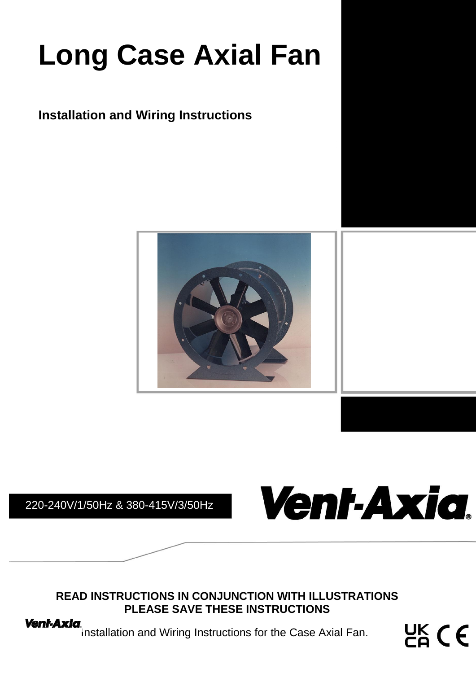# **Long Case Axial Fan**

### **Installation and Wiring Instructions**



220-240V/1/50Hz & 380-415V/3/50Hz



**READ INSTRUCTIONS IN CONJUNCTION WITH ILLUSTRATIONS PLEASE SAVE THESE INSTRUCTIONS**

**Vent-Axia.**<br>Installation and Wiring Instructions for the Case Axial Fan.

 $CK$   $C$   $C$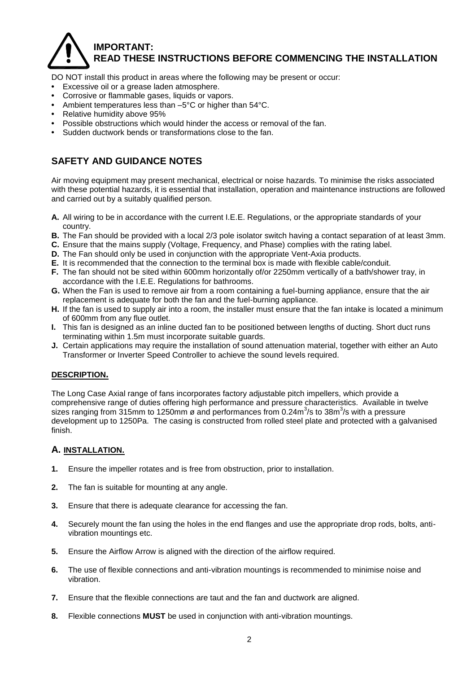### **IMPORTANT: READ THESE INSTRUCTIONS BEFORE COMMENCING THE INSTALLATION**

DO NOT install this product in areas where the following may be present or occur:

- **•** Excessive oil or a grease laden atmosphere.
- **•** Corrosive or flammable gases, liquids or vapors.
- **•** Ambient temperatures less than –5°C or higher than 54°C.
- **•** Relative humidity above 95%
- **•** Possible obstructions which would hinder the access or removal of the fan.
- **•** Sudden ductwork bends or transformations close to the fan.

### **SAFETY AND GUIDANCE NOTES**

Air moving equipment may present mechanical, electrical or noise hazards. To minimise the risks associated with these potential hazards, it is essential that installation, operation and maintenance instructions are followed and carried out by a suitably qualified person.

- **A.** All wiring to be in accordance with the current I.E.E. Regulations, or the appropriate standards of your country.
- **B.** The Fan should be provided with a local 2/3 pole isolator switch having a contact separation of at least 3mm.
- **C.** Ensure that the mains supply (Voltage, Frequency, and Phase) complies with the rating label.
- **D.** The Fan should only be used in conjunction with the appropriate Vent-Axia products.
- **E.** It is recommended that the connection to the terminal box is made with flexible cable/conduit.
- **F.** The fan should not be sited within 600mm horizontally of/or 2250mm vertically of a bath/shower tray, in accordance with the I.E.E. Regulations for bathrooms.
- **G.** When the Fan is used to remove air from a room containing a fuel-burning appliance, ensure that the air replacement is adequate for both the fan and the fuel-burning appliance.
- **H.** If the fan is used to supply air into a room, the installer must ensure that the fan intake is located a minimum of 600mm from any flue outlet.
- **I.** This fan is designed as an inline ducted fan to be positioned between lengths of ducting. Short duct runs terminating within 1.5m must incorporate suitable guards.
- **J.** Certain applications may require the installation of sound attenuation material, together with either an Auto Transformer or Inverter Speed Controller to achieve the sound levels required.

### **DESCRIPTION.**

The Long Case Axial range of fans incorporates factory adjustable pitch impellers, which provide a comprehensive range of duties offering high performance and pressure characteristics. Available in twelve sizes ranging from 315mm to 1250mm ø and performances from 0.24m<sup>3</sup>/s to 38m<sup>3</sup>/s with a pressure development up to 1250Pa. The casing is constructed from rolled steel plate and protected with a galvanised finish.

### **A. INSTALLATION.**

- **1.** Ensure the impeller rotates and is free from obstruction, prior to installation.
- **2.** The fan is suitable for mounting at any angle.
- **3.** Ensure that there is adequate clearance for accessing the fan.
- **4.** Securely mount the fan using the holes in the end flanges and use the appropriate drop rods, bolts, antivibration mountings etc.
- **5.** Ensure the Airflow Arrow is aligned with the direction of the airflow required.
- **6.** The use of flexible connections and anti-vibration mountings is recommended to minimise noise and vibration.
- **7.** Ensure that the flexible connections are taut and the fan and ductwork are aligned.
- **8.** Flexible connections **MUST** be used in conjunction with anti-vibration mountings.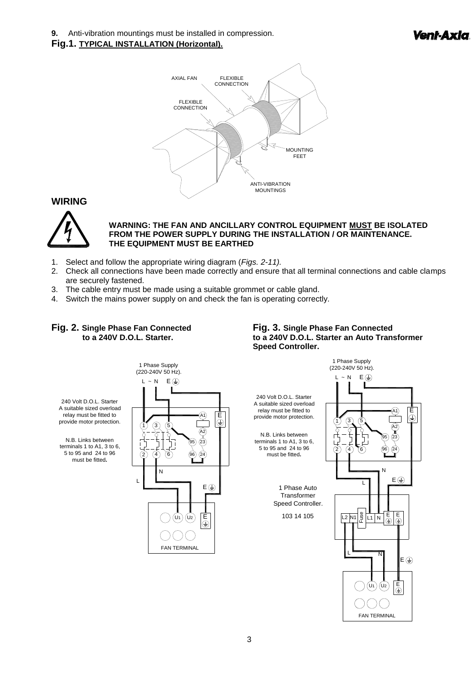**9.** Anti-vibration mountings must be installed in compression.

#### **Fig.1. TYPICAL INSTALLATION (Horizontal).**



### **WIRING**



#### **WARNING: THE FAN AND ANCILLARY CONTROL EQUIPMENT MUST BE ISOLATED FROM THE POWER SUPPLY DURING THE INSTALLATION / OR MAINTENANCE. THE EQUIPMENT MUST BE EARTHED**

- 1. Select and follow the appropriate wiring diagram (*Figs. 2-11).*
- 2. Check all connections have been made correctly and ensure that all terminal connections and cable clamps are securely fastened.
- 3. The cable entry must be made using a suitable grommet or cable gland.
- 4. Switch the mains power supply on and check the fan is operating correctly.

## **Fig. 2. Single Phase Fan Connected Fig. 3. Single Phase Fan Connected**

### **to a 240V D.O.L. Starter. to a 240V D.O.L. Starter an Auto Transformer Speed Controller.**





240 Volt D.O.L. Starter A suitable sized overload relay must be fitted to provide motor protection.

N.B. Links between terminals 1 to A1, 3 to 6, 5 to 95 and 24 to 96 must be fitted**.**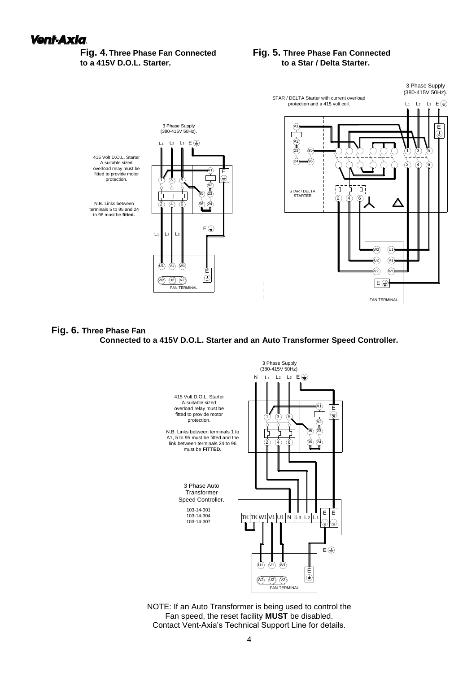### **to a 415V D.O.L. Starter.**

### **Fig. 4.Three Phase Fan Connected Fig. 5. Three Phase Fan Connected**



#### **Fig. 6. Three Phase Fan**

#### **Connected to a 415V D.O.L. Starter and an Auto Transformer Speed Controller.**



NOTE: If an Auto Transformer is being used to control the Fan speed, the reset facility **MUST** be disabled. Contact Vent-Axia's Technical Support Line for details.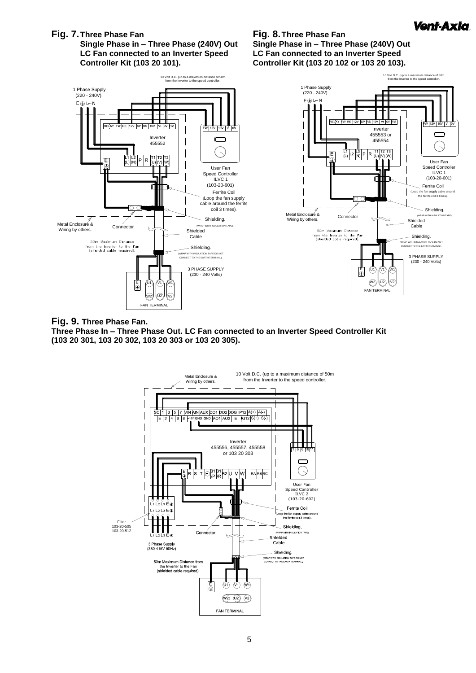

### **Fig. 7.Three Phase Fan Fig. 8.Three Phase Fan Single Phase in – Three Phase (240V) Out Single Phase in – Three Phase (240V) Out LC Fan connected to an Inverter Speed LC Fan connected to an Inverter Speed**

**Controller Kit (103 20 101). Controller Kit (103 20 102 or 103 20 103).**



### **Fig. 9. Three Phase Fan.**

**Three Phase In – Three Phase Out. LC Fan connected to an Inverter Speed Controller Kit (103 20 301, 103 20 302, 103 20 303 or 103 20 305).**

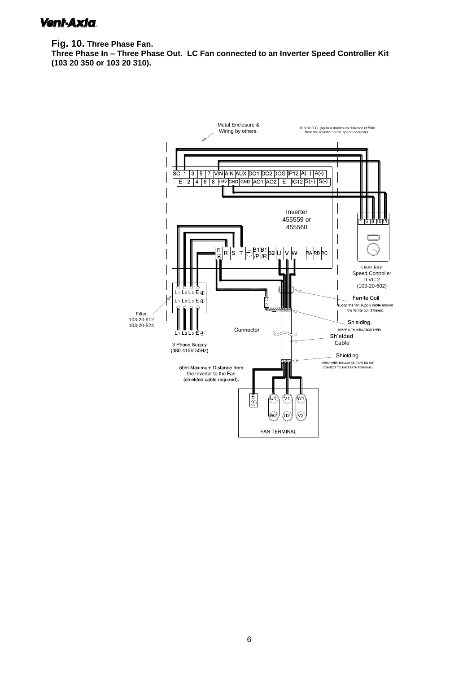### Vent-Axia.

**Fig. 10. Three Phase Fan. Three Phase In – Three Phase Out. LC Fan connected to an Inverter Speed Controller Kit (103 20 350 or 103 20 310).**

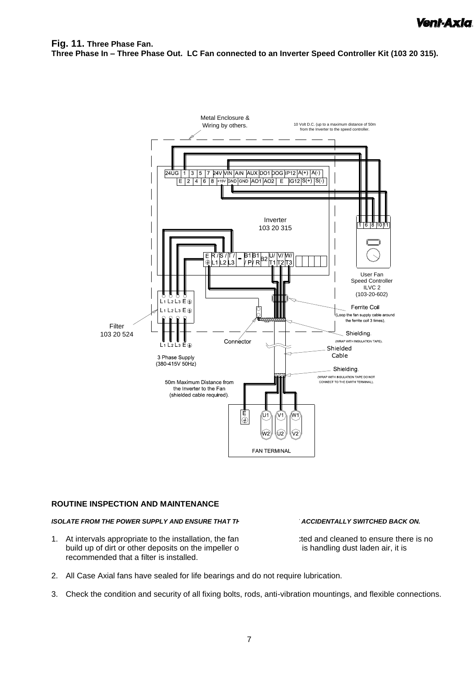**Fig. 11. Three Phase Fan. Three Phase In – Three Phase Out. LC Fan connected to an Inverter Speed Controller Kit (103 20 315).**



### **ROUTINE INSPECTION AND MAINTENANCE**

### **ISOLATE FROM THE POWER SUPPLY AND ENSURE THAT THE FANCE BE ACCIDENTALLY SWITCHED BACK ON.**

1. At intervals appropriate to the installation, the fan should be insure there is no should up of dirt or other deposits on the impeller o build up of dirt or other deposits on the impeller or recommended that a filter is installed.

- 
- 2. All Case Axial fans have sealed for life bearings and do not require lubrication.
- 3. Check the condition and security of all fixing bolts, rods, anti-vibration mountings, and flexible connections.